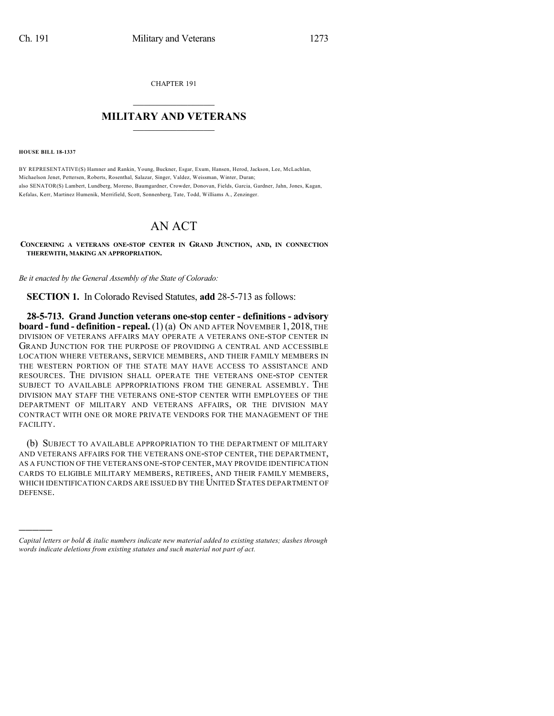CHAPTER 191

## $\mathcal{L}_\text{max}$  . The set of the set of the set of the set of the set of the set of the set of the set of the set of the set of the set of the set of the set of the set of the set of the set of the set of the set of the set **MILITARY AND VETERANS**  $\_$

**HOUSE BILL 18-1337**

)))))

BY REPRESENTATIVE(S) Hamner and Rankin, Young, Buckner, Esgar, Exum, Hansen, Herod, Jackson, Lee, McLachlan, Michaelson Jenet, Pettersen, Roberts, Rosenthal, Salazar, Singer, Valdez, Weissman, Winter, Duran; also SENATOR(S) Lambert, Lundberg, Moreno, Baumgardner, Crowder, Donovan, Fields, Garcia, Gardner, Jahn, Jones, Kagan, Kefalas, Kerr, Martinez Humenik, Merrifield, Scott, Sonnenberg, Tate, Todd, Williams A., Zenzinger.

## AN ACT

**CONCERNING A VETERANS ONE-STOP CENTER IN GRAND JUNCTION, AND, IN CONNECTION THEREWITH, MAKING AN APPROPRIATION.**

*Be it enacted by the General Assembly of the State of Colorado:*

**SECTION 1.** In Colorado Revised Statutes, **add** 28-5-713 as follows:

**28-5-713. Grand Junction veterans one-stop center - definitions - advisory board - fund - definition - repeal.** (1) (a) ON AND AFTER NOVEMBER 1, 2018, THE DIVISION OF VETERANS AFFAIRS MAY OPERATE A VETERANS ONE-STOP CENTER IN GRAND JUNCTION FOR THE PURPOSE OF PROVIDING A CENTRAL AND ACCESSIBLE LOCATION WHERE VETERANS, SERVICE MEMBERS, AND THEIR FAMILY MEMBERS IN THE WESTERN PORTION OF THE STATE MAY HAVE ACCESS TO ASSISTANCE AND RESOURCES. THE DIVISION SHALL OPERATE THE VETERANS ONE-STOP CENTER SUBJECT TO AVAILABLE APPROPRIATIONS FROM THE GENERAL ASSEMBLY. THE DIVISION MAY STAFF THE VETERANS ONE-STOP CENTER WITH EMPLOYEES OF THE DEPARTMENT OF MILITARY AND VETERANS AFFAIRS, OR THE DIVISION MAY CONTRACT WITH ONE OR MORE PRIVATE VENDORS FOR THE MANAGEMENT OF THE FACILITY.

(b) SUBJECT TO AVAILABLE APPROPRIATION TO THE DEPARTMENT OF MILITARY AND VETERANS AFFAIRS FOR THE VETERANS ONE-STOP CENTER, THE DEPARTMENT, AS A FUNCTION OF THE VETERANS ONE-STOP CENTER, MAY PROVIDE IDENTIFICATION CARDS TO ELIGIBLE MILITARY MEMBERS, RETIREES, AND THEIR FAMILY MEMBERS, WHICH IDENTIFICATION CARDS ARE ISSUED BY THE UNITED STATES DEPARTMENT OF DEFENSE.

*Capital letters or bold & italic numbers indicate new material added to existing statutes; dashes through words indicate deletions from existing statutes and such material not part of act.*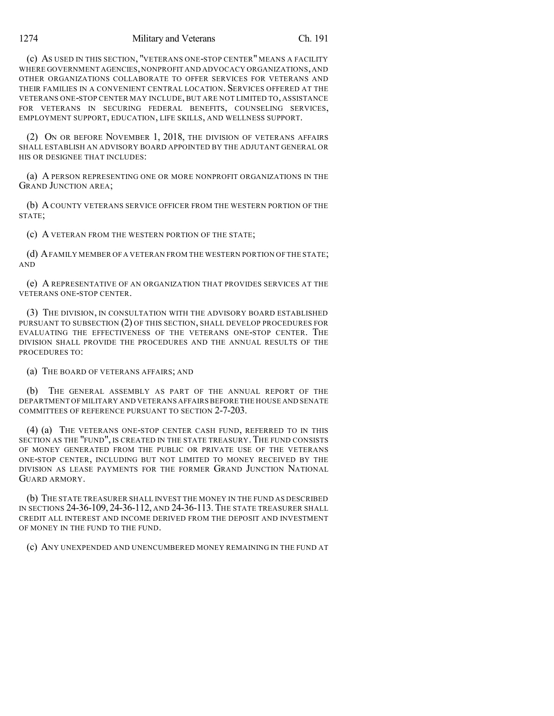(c) AS USED IN THIS SECTION, "VETERANS ONE-STOP CENTER" MEANS A FACILITY WHERE GOVERNMENT AGENCIES,NONPROFIT AND ADVOCACY ORGANIZATIONS,AND OTHER ORGANIZATIONS COLLABORATE TO OFFER SERVICES FOR VETERANS AND THEIR FAMILIES IN A CONVENIENT CENTRAL LOCATION. SERVICES OFFERED AT THE VETERANS ONE-STOP CENTER MAY INCLUDE, BUT ARE NOT LIMITED TO, ASSISTANCE FOR VETERANS IN SECURING FEDERAL BENEFITS, COUNSELING SERVICES, EMPLOYMENT SUPPORT, EDUCATION, LIFE SKILLS, AND WELLNESS SUPPORT.

(2) ON OR BEFORE NOVEMBER 1, 2018, THE DIVISION OF VETERANS AFFAIRS SHALL ESTABLISH AN ADVISORY BOARD APPOINTED BY THE ADJUTANT GENERAL OR HIS OR DESIGNEE THAT INCLUDES'

(a) A PERSON REPRESENTING ONE OR MORE NONPROFIT ORGANIZATIONS IN THE GRAND JUNCTION AREA;

(b) ACOUNTY VETERANS SERVICE OFFICER FROM THE WESTERN PORTION OF THE STATE;

(c) A VETERAN FROM THE WESTERN PORTION OF THE STATE;

(d) AFAMILY MEMBER OF A VETERAN FROM THE WESTERN PORTION OF THE STATE; AND

(e) A REPRESENTATIVE OF AN ORGANIZATION THAT PROVIDES SERVICES AT THE VETERANS ONE-STOP CENTER.

(3) THE DIVISION, IN CONSULTATION WITH THE ADVISORY BOARD ESTABLISHED PURSUANT TO SUBSECTION (2) OF THIS SECTION, SHALL DEVELOP PROCEDURES FOR EVALUATING THE EFFECTIVENESS OF THE VETERANS ONE-STOP CENTER. THE DIVISION SHALL PROVIDE THE PROCEDURES AND THE ANNUAL RESULTS OF THE PROCEDURES TO:

(a) THE BOARD OF VETERANS AFFAIRS; AND

(b) THE GENERAL ASSEMBLY AS PART OF THE ANNUAL REPORT OF THE DEPARTMENT OF MILITARY AND VETERANS AFFAIRS BEFORE THE HOUSE AND SENATE COMMITTEES OF REFERENCE PURSUANT TO SECTION 2-7-203.

(4) (a) THE VETERANS ONE-STOP CENTER CASH FUND, REFERRED TO IN THIS SECTION AS THE "FUND", IS CREATED IN THE STATE TREASURY. THE FUND CONSISTS OF MONEY GENERATED FROM THE PUBLIC OR PRIVATE USE OF THE VETERANS ONE-STOP CENTER, INCLUDING BUT NOT LIMITED TO MONEY RECEIVED BY THE DIVISION AS LEASE PAYMENTS FOR THE FORMER GRAND JUNCTION NATIONAL GUARD ARMORY.

(b) THE STATE TREASURER SHALL INVEST THE MONEY IN THE FUND AS DESCRIBED IN SECTIONS 24-36-109, 24-36-112, AND 24-36-113. THE STATE TREASURER SHALL CREDIT ALL INTEREST AND INCOME DERIVED FROM THE DEPOSIT AND INVESTMENT OF MONEY IN THE FUND TO THE FUND.

(c) ANY UNEXPENDED AND UNENCUMBERED MONEY REMAINING IN THE FUND AT